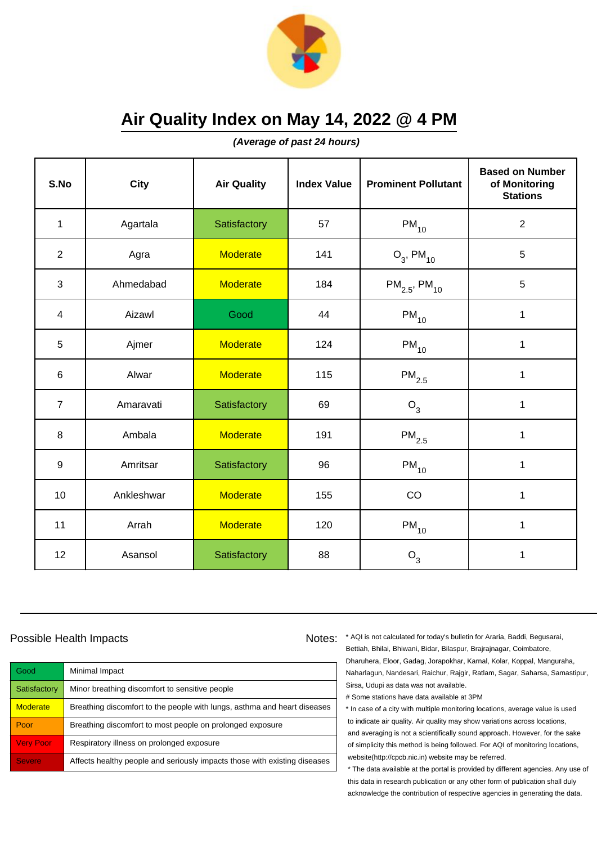

**(Average of past 24 hours)**

| S.No           | <b>City</b> | <b>Air Quality</b> | <b>Index Value</b> | <b>Prominent Pollutant</b>    | <b>Based on Number</b><br>of Monitoring<br><b>Stations</b> |
|----------------|-------------|--------------------|--------------------|-------------------------------|------------------------------------------------------------|
| $\mathbf{1}$   | Agartala    | Satisfactory       | 57                 | $\mathsf{PM}_{10}$            | $\sqrt{2}$                                                 |
| $\overline{2}$ | Agra        | <b>Moderate</b>    | 141                | $O_3$ , PM <sub>10</sub>      | 5                                                          |
| 3              | Ahmedabad   | <b>Moderate</b>    | 184                | $PM_{2.5}$ , PM <sub>10</sub> | 5                                                          |
| $\overline{4}$ | Aizawl      | Good               | 44                 | $PM_{10}$                     | 1                                                          |
| 5              | Ajmer       | <b>Moderate</b>    | 124                | $PM_{10}$                     | $\mathbf 1$                                                |
| 6              | Alwar       | <b>Moderate</b>    | 115                | $\mathsf{PM}_{2.5}$           | 1                                                          |
| $\overline{7}$ | Amaravati   | Satisfactory       | 69                 | $O_3$                         | $\mathbf{1}$                                               |
| 8              | Ambala      | <b>Moderate</b>    | 191                | $PM_{2.5}$                    | 1                                                          |
| 9              | Amritsar    | Satisfactory       | 96                 | $PM_{10}$                     | $\mathbf 1$                                                |
| 10             | Ankleshwar  | <b>Moderate</b>    | 155                | CO                            | 1                                                          |
| 11             | Arrah       | <b>Moderate</b>    | 120                | $PM_{10}$                     | 1                                                          |
| 12             | Asansol     | Satisfactory       | 88                 | $O_3$                         | 1                                                          |

### Possible Health Impacts

Good Minimal Impact Satisfactory | Minor breathing discomfort to sensitive people Moderate **Breathing discomfort to the people with lungs**, asthma and heart diseases Poor Breathing discomfort to most people on prolonged exposure Very Poor Respiratory illness on prolonged exposure Severe **Affects healthy people and seriously impacts those with existing diseases** 

Notes: \* AQI is not calculated for today's bulletin for Araria, Baddi, Begusarai, Bettiah, Bhilai, Bhiwani, Bidar, Bilaspur, Brajrajnagar, Coimbatore, Dharuhera, Eloor, Gadag, Jorapokhar, Karnal, Kolar, Koppal, Manguraha, Naharlagun, Nandesari, Raichur, Rajgir, Ratlam, Sagar, Saharsa, Samastipur, Sirsa, Udupi as data was not available.

# Some stations have data available at 3PM

\* In case of a city with multiple monitoring locations, average value is used to indicate air quality. Air quality may show variations across locations, and averaging is not a scientifically sound approach. However, for the sake of simplicity this method is being followed. For AQI of monitoring locations, website(http://cpcb.nic.in) website may be referred.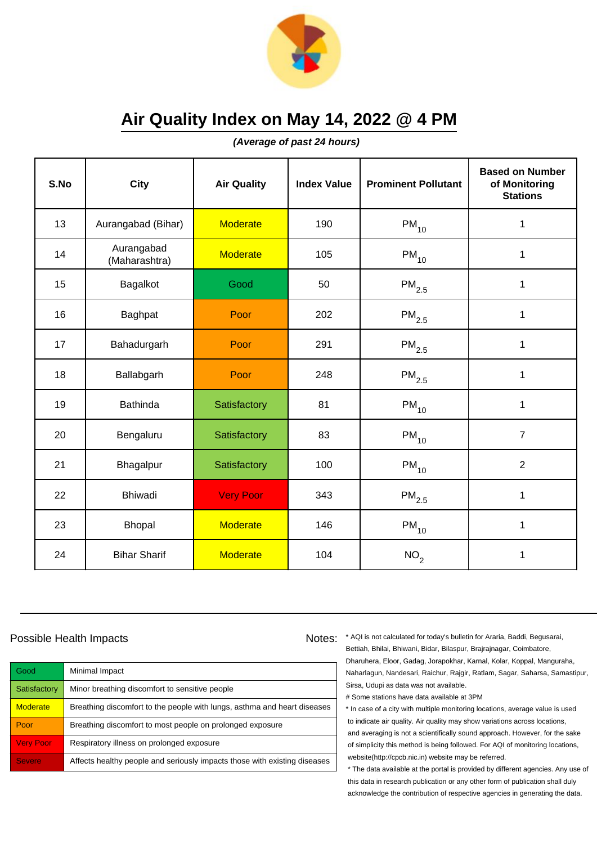

**(Average of past 24 hours)**

| S.No | <b>City</b>                 | <b>Air Quality</b> | <b>Index Value</b> | <b>Prominent Pollutant</b> | <b>Based on Number</b><br>of Monitoring<br><b>Stations</b> |
|------|-----------------------------|--------------------|--------------------|----------------------------|------------------------------------------------------------|
| 13   | Aurangabad (Bihar)          | <b>Moderate</b>    | 190                | $PM_{10}$                  | $\mathbf 1$                                                |
| 14   | Aurangabad<br>(Maharashtra) | <b>Moderate</b>    | 105                | $PM_{10}$                  | 1                                                          |
| 15   | Bagalkot                    | Good               | 50                 | $\mathsf{PM}_{2.5}$        | 1                                                          |
| 16   | Baghpat                     | Poor               | 202                | $PM_{2.5}$                 | 1                                                          |
| 17   | Bahadurgarh                 | Poor               | 291                | $PM_{2.5}$                 | $\mathbf 1$                                                |
| 18   | Ballabgarh                  | Poor               | 248                | $\mathsf{PM}_{2.5}$        | 1                                                          |
| 19   | <b>Bathinda</b>             | Satisfactory       | 81                 | $PM_{10}$                  | 1                                                          |
| 20   | Bengaluru                   | Satisfactory       | 83                 | $PM_{10}$                  | $\overline{7}$                                             |
| 21   | Bhagalpur                   | Satisfactory       | 100                | $PM_{10}$                  | $\overline{2}$                                             |
| 22   | Bhiwadi                     | <b>Very Poor</b>   | 343                | $\mathsf{PM}_{2.5}$        | 1                                                          |
| 23   | <b>Bhopal</b>               | <b>Moderate</b>    | 146                | $\mathsf{PM}_{10}$         | 1                                                          |
| 24   | <b>Bihar Sharif</b>         | <b>Moderate</b>    | 104                | NO <sub>2</sub>            | 1                                                          |

### Possible Health Impacts

| Good             | Minimal Impact                                                            |
|------------------|---------------------------------------------------------------------------|
| Satisfactory     | Minor breathing discomfort to sensitive people                            |
| <b>Moderate</b>  | Breathing discomfort to the people with lungs, asthma and heart diseases  |
| Poor             | Breathing discomfort to most people on prolonged exposure                 |
| <b>Very Poor</b> | Respiratory illness on prolonged exposure                                 |
| <b>Severe</b>    | Affects healthy people and seriously impacts those with existing diseases |

Notes: \* AQI is not calculated for today's bulletin for Araria, Baddi, Begusarai, Bettiah, Bhilai, Bhiwani, Bidar, Bilaspur, Brajrajnagar, Coimbatore, Dharuhera, Eloor, Gadag, Jorapokhar, Karnal, Kolar, Koppal, Manguraha, Naharlagun, Nandesari, Raichur, Rajgir, Ratlam, Sagar, Saharsa, Samastipur, Sirsa, Udupi as data was not available.

# Some stations have data available at 3PM

\* In case of a city with multiple monitoring locations, average value is used to indicate air quality. Air quality may show variations across locations, and averaging is not a scientifically sound approach. However, for the sake of simplicity this method is being followed. For AQI of monitoring locations, website(http://cpcb.nic.in) website may be referred.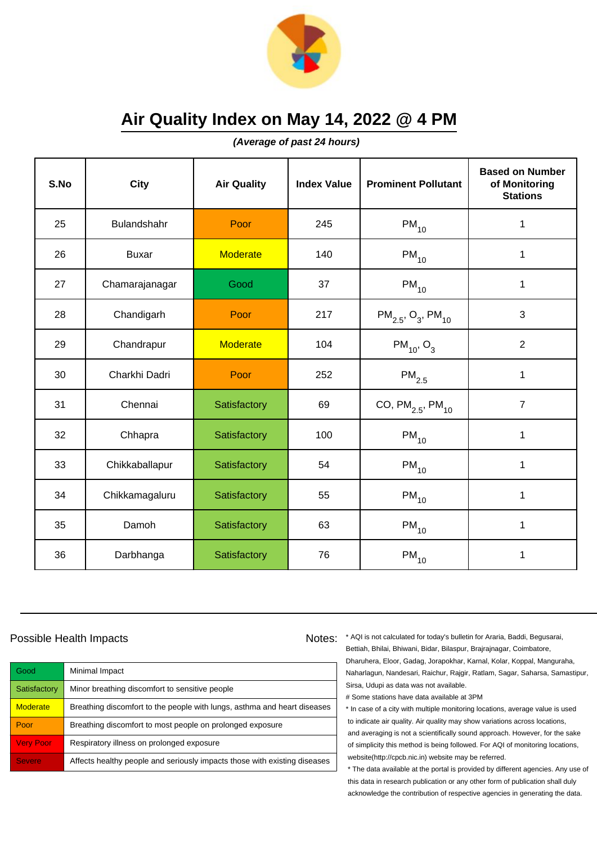

**(Average of past 24 hours)**

| S.No | <b>City</b>    | <b>Air Quality</b> | <b>Index Value</b> | <b>Prominent Pollutant</b>                     | <b>Based on Number</b><br>of Monitoring<br><b>Stations</b> |
|------|----------------|--------------------|--------------------|------------------------------------------------|------------------------------------------------------------|
| 25   | Bulandshahr    | Poor               | 245                | $PM_{10}$                                      | 1                                                          |
| 26   | <b>Buxar</b>   | <b>Moderate</b>    | 140                | $\mathsf{PM}_{10}$                             | 1                                                          |
| 27   | Chamarajanagar | Good               | 37                 | $PM_{10}$                                      | $\mathbf 1$                                                |
| 28   | Chandigarh     | Poor               | 217                | $PM_{2.5}$ , O <sub>3</sub> , PM <sub>10</sub> | 3                                                          |
| 29   | Chandrapur     | <b>Moderate</b>    | 104                | $PM_{10}$ , O <sub>3</sub>                     | $\overline{2}$                                             |
| 30   | Charkhi Dadri  | Poor               | 252                | $PM_{2.5}$                                     | 1                                                          |
| 31   | Chennai        | Satisfactory       | 69                 | CO, $PM_{2.5}$ , $PM_{10}$                     | $\overline{7}$                                             |
| 32   | Chhapra        | Satisfactory       | 100                | $PM_{10}$                                      | 1                                                          |
| 33   | Chikkaballapur | Satisfactory       | 54                 | $PM_{10}$                                      | $\mathbf 1$                                                |
| 34   | Chikkamagaluru | Satisfactory       | 55                 | $PM_{10}$                                      | 1                                                          |
| 35   | Damoh          | Satisfactory       | 63                 | $PM_{10}$                                      | 1                                                          |
| 36   | Darbhanga      | Satisfactory       | 76                 | $PM_{10}$                                      | 1                                                          |

### Possible Health Impacts

Good Minimal Impact Satisfactory | Minor breathing discomfort to sensitive people Moderate **Breathing discomfort to the people with lungs**, asthma and heart diseases Poor Breathing discomfort to most people on prolonged exposure Very Poor Respiratory illness on prolonged exposure Severe **Affects healthy people and seriously impacts those with existing diseases** 

Notes: \* AQI is not calculated for today's bulletin for Araria, Baddi, Begusarai, Bettiah, Bhilai, Bhiwani, Bidar, Bilaspur, Brajrajnagar, Coimbatore, Dharuhera, Eloor, Gadag, Jorapokhar, Karnal, Kolar, Koppal, Manguraha, Naharlagun, Nandesari, Raichur, Rajgir, Ratlam, Sagar, Saharsa, Samastipur, Sirsa, Udupi as data was not available.

# Some stations have data available at 3PM

\* In case of a city with multiple monitoring locations, average value is used to indicate air quality. Air quality may show variations across locations, and averaging is not a scientifically sound approach. However, for the sake of simplicity this method is being followed. For AQI of monitoring locations, website(http://cpcb.nic.in) website may be referred.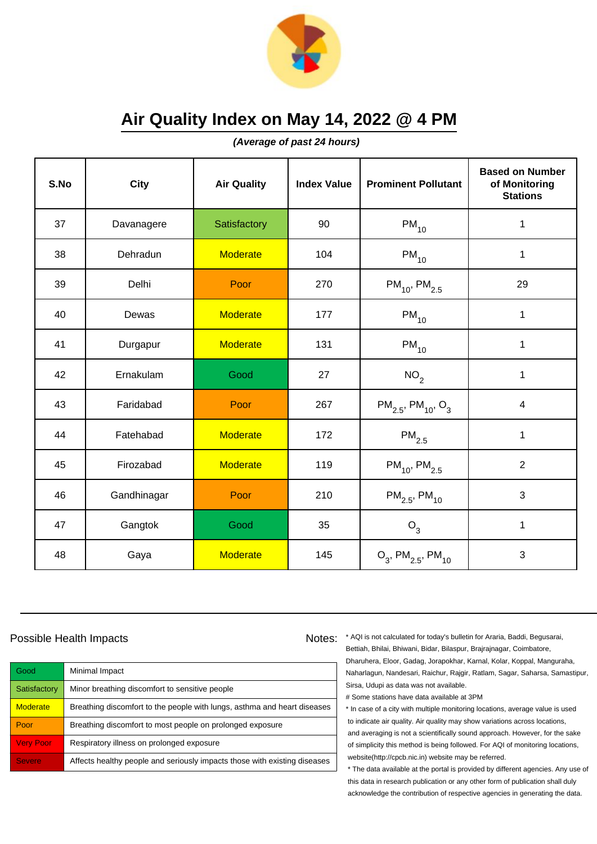

**(Average of past 24 hours)**

| S.No | <b>City</b> | <b>Air Quality</b> | <b>Index Value</b> | <b>Prominent Pollutant</b>                     | <b>Based on Number</b><br>of Monitoring<br><b>Stations</b> |
|------|-------------|--------------------|--------------------|------------------------------------------------|------------------------------------------------------------|
| 37   | Davanagere  | Satisfactory       | 90                 | $PM_{10}$                                      | 1                                                          |
| 38   | Dehradun    | <b>Moderate</b>    | 104                | $PM_{10}$                                      | $\mathbf 1$                                                |
| 39   | Delhi       | Poor               | 270                | $PM_{10}$ , PM <sub>2.5</sub>                  | 29                                                         |
| 40   | Dewas       | <b>Moderate</b>    | 177                | $PM_{10}$                                      | 1                                                          |
| 41   | Durgapur    | <b>Moderate</b>    | 131                | $PM_{10}$                                      | 1                                                          |
| 42   | Ernakulam   | Good               | 27                 | NO <sub>2</sub>                                | $\mathbf 1$                                                |
| 43   | Faridabad   | Poor               | 267                | $PM_{2.5}$ , PM <sub>10</sub> , O <sub>3</sub> | $\overline{\mathbf{4}}$                                    |
| 44   | Fatehabad   | <b>Moderate</b>    | 172                | $PM_{2.5}$                                     | $\mathbf{1}$                                               |
| 45   | Firozabad   | <b>Moderate</b>    | 119                | $PM_{10}$ , PM <sub>2.5</sub>                  | $\overline{2}$                                             |
| 46   | Gandhinagar | Poor               | 210                | $PM_{2.5}$ , PM <sub>10</sub>                  | 3                                                          |
| 47   | Gangtok     | Good               | 35                 | O <sub>3</sub>                                 | $\mathbf{1}$                                               |
| 48   | Gaya        | <b>Moderate</b>    | 145                | $O_3$ , PM <sub>2.5</sub> , PM <sub>10</sub>   | 3                                                          |

### Possible Health Impacts

| Good             | Minimal Impact                                                            |
|------------------|---------------------------------------------------------------------------|
| Satisfactory     | Minor breathing discomfort to sensitive people                            |
| <b>Moderate</b>  | Breathing discomfort to the people with lungs, asthma and heart diseases  |
| Poor             | Breathing discomfort to most people on prolonged exposure                 |
| <b>Very Poor</b> | Respiratory illness on prolonged exposure                                 |
| <b>Severe</b>    | Affects healthy people and seriously impacts those with existing diseases |

Notes: \* AQI is not calculated for today's bulletin for Araria, Baddi, Begusarai, Bettiah, Bhilai, Bhiwani, Bidar, Bilaspur, Brajrajnagar, Coimbatore, Dharuhera, Eloor, Gadag, Jorapokhar, Karnal, Kolar, Koppal, Manguraha, Naharlagun, Nandesari, Raichur, Rajgir, Ratlam, Sagar, Saharsa, Samastipur, Sirsa, Udupi as data was not available.

# Some stations have data available at 3PM

\* In case of a city with multiple monitoring locations, average value is used to indicate air quality. Air quality may show variations across locations, and averaging is not a scientifically sound approach. However, for the sake of simplicity this method is being followed. For AQI of monitoring locations, website(http://cpcb.nic.in) website may be referred.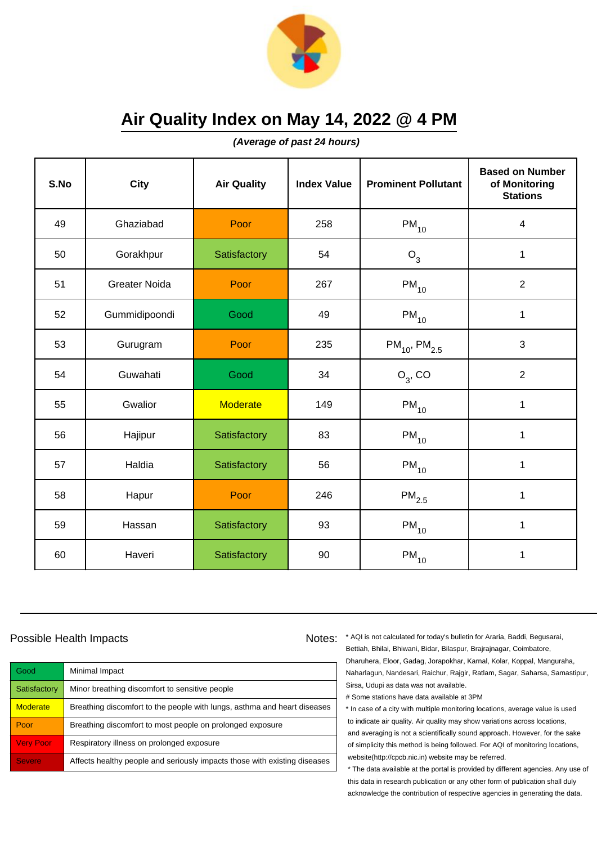

**(Average of past 24 hours)**

| S.No | <b>City</b>          | <b>Air Quality</b> | <b>Index Value</b> | <b>Prominent Pollutant</b> | <b>Based on Number</b><br>of Monitoring<br><b>Stations</b> |
|------|----------------------|--------------------|--------------------|----------------------------|------------------------------------------------------------|
| 49   | Ghaziabad            | Poor               | 258                | $\mathsf{PM}_{10}$         | 4                                                          |
| 50   | Gorakhpur            | Satisfactory       | 54                 | $O_3$                      | $\mathbf 1$                                                |
| 51   | <b>Greater Noida</b> | Poor               | 267                | $PM_{10}$                  | $\overline{2}$                                             |
| 52   | Gummidipoondi        | Good               | 49                 | $PM_{10}$                  | 1                                                          |
| 53   | Gurugram             | Poor               | 235                | $PM_{10}$ , $PM_{2.5}$     | 3                                                          |
| 54   | Guwahati             | Good               | 34                 | $O_3$ , CO                 | $\overline{2}$                                             |
| 55   | Gwalior              | <b>Moderate</b>    | 149                | $\mathsf{PM}_{10}$         | $\mathbf{1}$                                               |
| 56   | Hajipur              | Satisfactory       | 83                 | $PM_{10}$                  | 1                                                          |
| 57   | Haldia               | Satisfactory       | 56                 | $PM_{10}$                  | $\mathbf 1$                                                |
| 58   | Hapur                | Poor               | 246                | $PM_{2.5}$                 | 1                                                          |
| 59   | Hassan               | Satisfactory       | 93                 | $PM_{10}$                  | 1                                                          |
| 60   | Haveri               | Satisfactory       | 90                 | $\mathsf{PM}_{10}$         | 1                                                          |

### Possible Health Impacts

Good Minimal Impact Satisfactory | Minor breathing discomfort to sensitive people Moderate **Breathing discomfort to the people with lungs**, asthma and heart diseases Poor Breathing discomfort to most people on prolonged exposure Very Poor Respiratory illness on prolonged exposure Severe **Affects healthy people and seriously impacts those with existing diseases** 

Notes: \* AQI is not calculated for today's bulletin for Araria, Baddi, Begusarai, Bettiah, Bhilai, Bhiwani, Bidar, Bilaspur, Brajrajnagar, Coimbatore, Dharuhera, Eloor, Gadag, Jorapokhar, Karnal, Kolar, Koppal, Manguraha, Naharlagun, Nandesari, Raichur, Rajgir, Ratlam, Sagar, Saharsa, Samastipur, Sirsa, Udupi as data was not available.

# Some stations have data available at 3PM

\* In case of a city with multiple monitoring locations, average value is used to indicate air quality. Air quality may show variations across locations, and averaging is not a scientifically sound approach. However, for the sake of simplicity this method is being followed. For AQI of monitoring locations, website(http://cpcb.nic.in) website may be referred.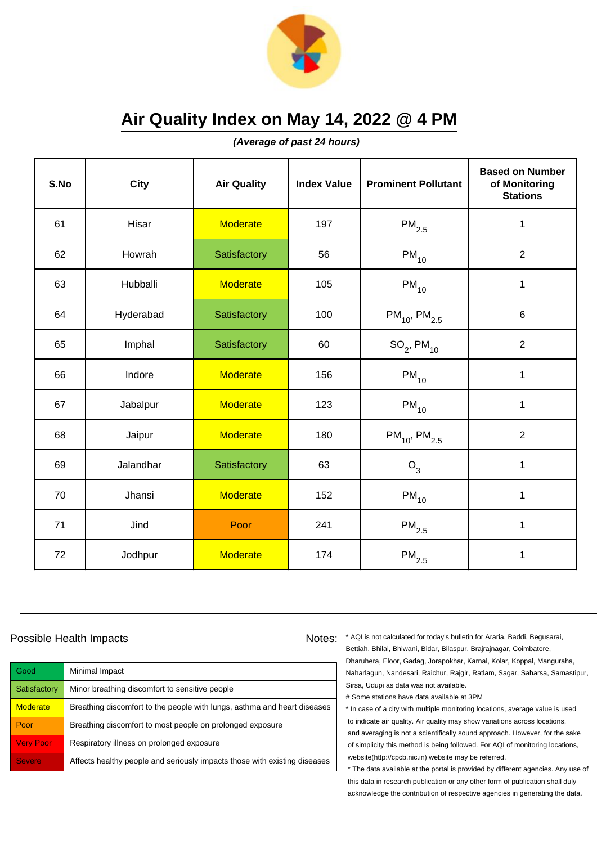

**(Average of past 24 hours)**

| S.No | <b>City</b> | <b>Air Quality</b> | <b>Index Value</b> | <b>Prominent Pollutant</b>    | <b>Based on Number</b><br>of Monitoring<br><b>Stations</b> |
|------|-------------|--------------------|--------------------|-------------------------------|------------------------------------------------------------|
| 61   | Hisar       | <b>Moderate</b>    | 197                | $\mathsf{PM}_{2.5}$           | $\mathbf 1$                                                |
| 62   | Howrah      | Satisfactory       | 56                 | $PM_{10}$                     | $\overline{2}$                                             |
| 63   | Hubballi    | <b>Moderate</b>    | 105                | $\mathsf{PM}_{10}$            | $\mathbf 1$                                                |
| 64   | Hyderabad   | Satisfactory       | 100                | $PM_{10}$ , PM <sub>2.5</sub> | 6                                                          |
| 65   | Imphal      | Satisfactory       | 60                 | $SO_2$ , PM <sub>10</sub>     | $\overline{2}$                                             |
| 66   | Indore      | <b>Moderate</b>    | 156                | $\mathsf{PM}_{10}$            | 1                                                          |
| 67   | Jabalpur    | <b>Moderate</b>    | 123                | $\mathsf{PM}_{10}$            | $\mathbf{1}$                                               |
| 68   | Jaipur      | <b>Moderate</b>    | 180                | $PM_{10}$ , PM <sub>2.5</sub> | $\overline{2}$                                             |
| 69   | Jalandhar   | Satisfactory       | 63                 | O <sub>3</sub>                | $\mathbf 1$                                                |
| 70   | Jhansi      | <b>Moderate</b>    | 152                | $PM_{10}$                     | 1                                                          |
| 71   | Jind        | Poor               | 241                | $PM_{2.5}$                    | 1                                                          |
| 72   | Jodhpur     | <b>Moderate</b>    | 174                | $\mathsf{PM}_{2.5}$           | 1                                                          |

### Possible Health Impacts

| Good             | Minimal Impact                                                            |
|------------------|---------------------------------------------------------------------------|
| Satisfactory     | Minor breathing discomfort to sensitive people                            |
| <b>Moderate</b>  | Breathing discomfort to the people with lungs, asthma and heart diseases  |
| Poor             | Breathing discomfort to most people on prolonged exposure                 |
| <b>Very Poor</b> | Respiratory illness on prolonged exposure                                 |
| <b>Severe</b>    | Affects healthy people and seriously impacts those with existing diseases |

Notes: \* AQI is not calculated for today's bulletin for Araria, Baddi, Begusarai, Bettiah, Bhilai, Bhiwani, Bidar, Bilaspur, Brajrajnagar, Coimbatore, Dharuhera, Eloor, Gadag, Jorapokhar, Karnal, Kolar, Koppal, Manguraha, Naharlagun, Nandesari, Raichur, Rajgir, Ratlam, Sagar, Saharsa, Samastipur, Sirsa, Udupi as data was not available.

# Some stations have data available at 3PM

\* In case of a city with multiple monitoring locations, average value is used to indicate air quality. Air quality may show variations across locations, and averaging is not a scientifically sound approach. However, for the sake of simplicity this method is being followed. For AQI of monitoring locations, website(http://cpcb.nic.in) website may be referred.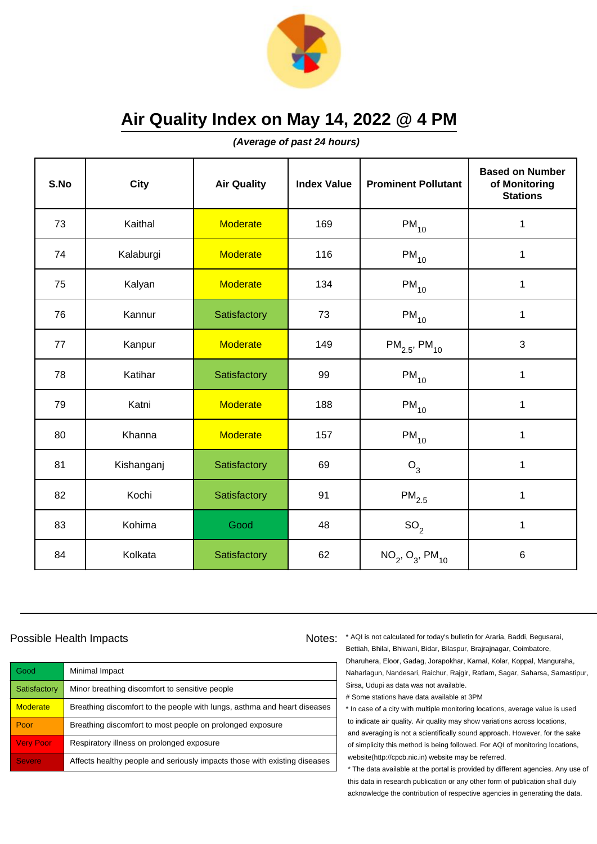

**(Average of past 24 hours)**

| S.No | <b>City</b> | <b>Air Quality</b> | <b>Index Value</b> | <b>Prominent Pollutant</b>    | <b>Based on Number</b><br>of Monitoring<br><b>Stations</b> |
|------|-------------|--------------------|--------------------|-------------------------------|------------------------------------------------------------|
| 73   | Kaithal     | <b>Moderate</b>    | 169                | $PM_{10}$                     | $\mathbf 1$                                                |
| 74   | Kalaburgi   | <b>Moderate</b>    | 116                | $PM_{10}$                     | $\mathbf 1$                                                |
| 75   | Kalyan      | <b>Moderate</b>    | 134                | $PM_{10}$                     | 1                                                          |
| 76   | Kannur      | Satisfactory       | 73                 | $PM_{10}$                     | $\mathbf 1$                                                |
| 77   | Kanpur      | <b>Moderate</b>    | 149                | $PM_{2.5}$ , PM <sub>10</sub> | 3                                                          |
| 78   | Katihar     | Satisfactory       | 99                 | $PM_{10}$                     | $\mathbf 1$                                                |
| 79   | Katni       | <b>Moderate</b>    | 188                | $\mathsf{PM}_{10}$            | 1                                                          |
| 80   | Khanna      | <b>Moderate</b>    | 157                | $PM_{10}$                     | 1                                                          |
| 81   | Kishanganj  | Satisfactory       | 69                 | O <sub>3</sub>                | $\mathbf 1$                                                |
| 82   | Kochi       | Satisfactory       | 91                 | $PM_{2.5}$                    | $\mathbf 1$                                                |
| 83   | Kohima      | Good               | 48                 | SO <sub>2</sub>               | $\mathbf{1}$                                               |
| 84   | Kolkata     | Satisfactory       | 62                 | $NO_2$ , $O_3$ , $PM_{10}$    | 6                                                          |

#### Possible Health Impacts

| Good             | Minimal Impact                                                            |
|------------------|---------------------------------------------------------------------------|
| Satisfactory     | Minor breathing discomfort to sensitive people                            |
| <b>Moderate</b>  | Breathing discomfort to the people with lungs, asthma and heart diseases  |
| Poor             | Breathing discomfort to most people on prolonged exposure                 |
| <b>Very Poor</b> | Respiratory illness on prolonged exposure                                 |
| <b>Severe</b>    | Affects healthy people and seriously impacts those with existing diseases |

Notes: \* AQI is not calculated for today's bulletin for Araria, Baddi, Begusarai, Bettiah, Bhilai, Bhiwani, Bidar, Bilaspur, Brajrajnagar, Coimbatore, Dharuhera, Eloor, Gadag, Jorapokhar, Karnal, Kolar, Koppal, Manguraha, Naharlagun, Nandesari, Raichur, Rajgir, Ratlam, Sagar, Saharsa, Samastipur, Sirsa, Udupi as data was not available.

# Some stations have data available at 3PM

\* In case of a city with multiple monitoring locations, average value is used to indicate air quality. Air quality may show variations across locations, and averaging is not a scientifically sound approach. However, for the sake of simplicity this method is being followed. For AQI of monitoring locations, website(http://cpcb.nic.in) website may be referred.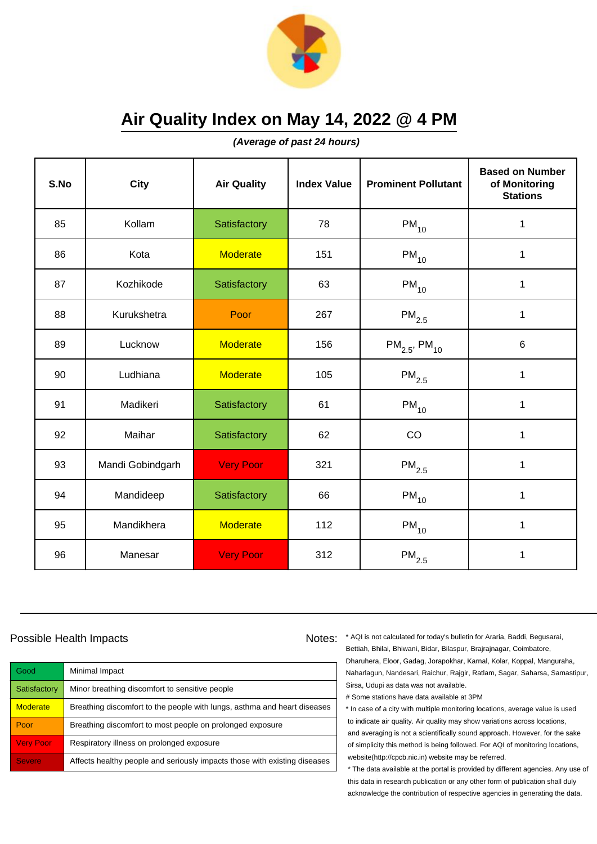

**(Average of past 24 hours)**

| S.No | <b>City</b>      | <b>Air Quality</b> | <b>Index Value</b> | <b>Prominent Pollutant</b>    | <b>Based on Number</b><br>of Monitoring<br><b>Stations</b> |
|------|------------------|--------------------|--------------------|-------------------------------|------------------------------------------------------------|
| 85   | Kollam           | Satisfactory       | 78                 | $PM_{10}$                     | $\mathbf 1$                                                |
| 86   | Kota             | <b>Moderate</b>    | 151                | $PM_{10}$                     | $\mathbf 1$                                                |
| 87   | Kozhikode        | Satisfactory       | 63                 | $PM_{10}$                     | $\mathbf 1$                                                |
| 88   | Kurukshetra      | Poor               | 267                | $PM_{2.5}$                    | $\mathbf 1$                                                |
| 89   | Lucknow          | <b>Moderate</b>    | 156                | $PM_{2.5}$ , PM <sub>10</sub> | $6\phantom{1}$                                             |
| 90   | Ludhiana         | <b>Moderate</b>    | 105                | $\mathsf{PM}_{2.5}$           | $\mathbf{1}$                                               |
| 91   | Madikeri         | Satisfactory       | 61                 | $PM_{10}$                     | $\mathbf{1}$                                               |
| 92   | Maihar           | Satisfactory       | 62                 | CO                            | $\mathbf{1}$                                               |
| 93   | Mandi Gobindgarh | <b>Very Poor</b>   | 321                | $PM_{2.5}$                    | $\mathbf 1$                                                |
| 94   | Mandideep        | Satisfactory       | 66                 | $PM_{10}$                     | 1                                                          |
| 95   | Mandikhera       | <b>Moderate</b>    | 112                | $PM_{10}$                     | 1                                                          |
| 96   | Manesar          | <b>Very Poor</b>   | 312                | $\mathsf{PM}_{2.5}$           | 1                                                          |

### Possible Health Impacts

| Good             | Minimal Impact                                                            |
|------------------|---------------------------------------------------------------------------|
| Satisfactory     | Minor breathing discomfort to sensitive people                            |
| <b>Moderate</b>  | Breathing discomfort to the people with lungs, asthma and heart diseases  |
| Poor             | Breathing discomfort to most people on prolonged exposure                 |
| <b>Very Poor</b> | Respiratory illness on prolonged exposure                                 |
| <b>Severe</b>    | Affects healthy people and seriously impacts those with existing diseases |

Notes: \* AQI is not calculated for today's bulletin for Araria, Baddi, Begusarai, Bettiah, Bhilai, Bhiwani, Bidar, Bilaspur, Brajrajnagar, Coimbatore, Dharuhera, Eloor, Gadag, Jorapokhar, Karnal, Kolar, Koppal, Manguraha, Naharlagun, Nandesari, Raichur, Rajgir, Ratlam, Sagar, Saharsa, Samastipur, Sirsa, Udupi as data was not available.

# Some stations have data available at 3PM

\* In case of a city with multiple monitoring locations, average value is used to indicate air quality. Air quality may show variations across locations, and averaging is not a scientifically sound approach. However, for the sake of simplicity this method is being followed. For AQI of monitoring locations, website(http://cpcb.nic.in) website may be referred.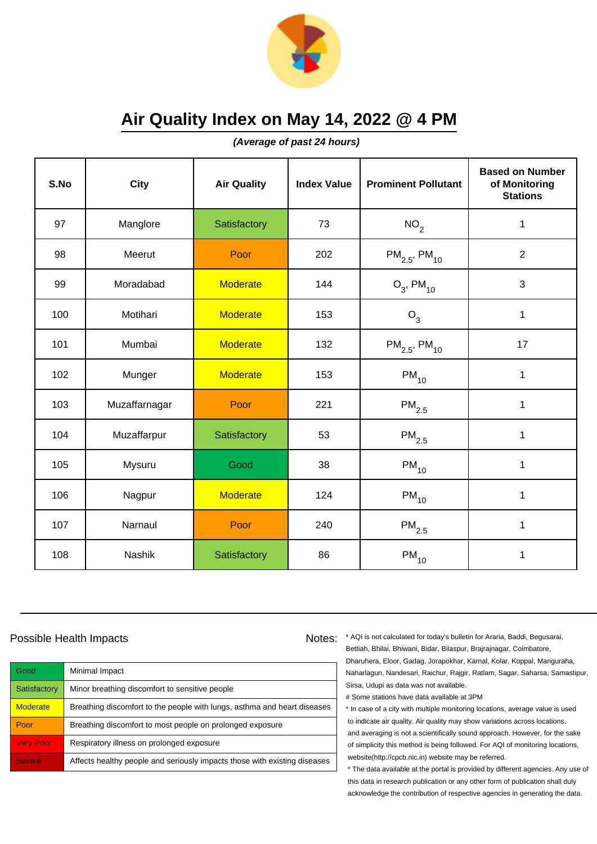

**(Average of past 24 hours)**

| S.No | <b>City</b>   | <b>Air Quality</b> | <b>Index Value</b> | <b>Prominent Pollutant</b>    | <b>Based on Number</b><br>of Monitoring<br><b>Stations</b> |
|------|---------------|--------------------|--------------------|-------------------------------|------------------------------------------------------------|
| 97   | Manglore      | Satisfactory       | 73                 | NO <sub>2</sub>               | $\mathbf 1$                                                |
| 98   | Meerut        | Poor               | 202                | $PM_{2.5}$ , PM <sub>10</sub> | $\overline{2}$                                             |
| 99   | Moradabad     | <b>Moderate</b>    | 144                | $O_3$ , PM <sub>10</sub>      | 3                                                          |
| 100  | Motihari      | <b>Moderate</b>    | 153                | $O_3$                         | 1                                                          |
| 101  | Mumbai        | <b>Moderate</b>    | 132                | $PM_{2.5}$ , PM <sub>10</sub> | 17                                                         |
| 102  | Munger        | <b>Moderate</b>    | 153                | $PM_{10}$                     | 1                                                          |
| 103  | Muzaffarnagar | Poor               | 221                | $\mathsf{PM}_{2.5}$           | 1                                                          |
| 104  | Muzaffarpur   | Satisfactory       | 53                 | $\mathsf{PM}_{2.5}$           | $\mathbf{1}$                                               |
| 105  | Mysuru        | Good               | 38                 | $PM_{10}$                     | $\mathbf 1$                                                |
| 106  | Nagpur        | <b>Moderate</b>    | 124                | $PM_{10}$                     | 1                                                          |
| 107  | Narnaul       | Poor               | 240                | $\mathsf{PM}_{2.5}$           | 1                                                          |
| 108  | Nashik        | Satisfactory       | 86                 | $PM_{10}$                     | 1                                                          |

### Possible Health Impacts

| Good             | Minimal Impact                                                            |
|------------------|---------------------------------------------------------------------------|
| Satisfactory     | Minor breathing discomfort to sensitive people                            |
| <b>Moderate</b>  | Breathing discomfort to the people with lungs, asthma and heart diseases  |
| Poor             | Breathing discomfort to most people on prolonged exposure                 |
| <b>Very Poor</b> | Respiratory illness on prolonged exposure                                 |
| <b>Severe</b>    | Affects healthy people and seriously impacts those with existing diseases |

Notes: \* AQI is not calculated for today's bulletin for Araria, Baddi, Begusarai, Bettiah, Bhilai, Bhiwani, Bidar, Bilaspur, Brajrajnagar, Coimbatore, Dharuhera, Eloor, Gadag, Jorapokhar, Karnal, Kolar, Koppal, Manguraha, Naharlagun, Nandesari, Raichur, Rajgir, Ratlam, Sagar, Saharsa, Samastipur, Sirsa, Udupi as data was not available.

# Some stations have data available at 3PM

\* In case of a city with multiple monitoring locations, average value is used to indicate air quality. Air quality may show variations across locations, and averaging is not a scientifically sound approach. However, for the sake of simplicity this method is being followed. For AQI of monitoring locations, website(http://cpcb.nic.in) website may be referred.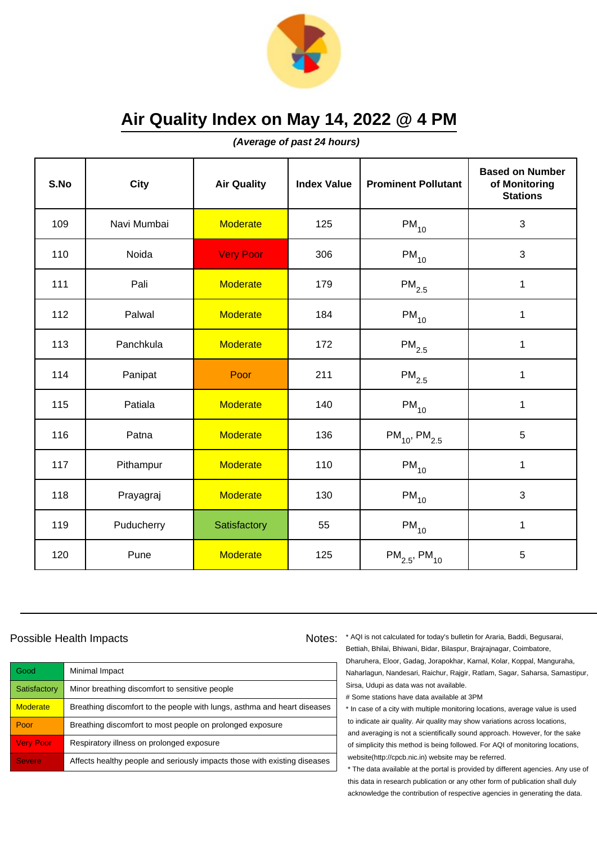

**(Average of past 24 hours)**

| S.No | <b>City</b> | <b>Air Quality</b> | <b>Index Value</b> | <b>Prominent Pollutant</b>    | <b>Based on Number</b><br>of Monitoring<br><b>Stations</b> |
|------|-------------|--------------------|--------------------|-------------------------------|------------------------------------------------------------|
| 109  | Navi Mumbai | <b>Moderate</b>    | 125                | $PM_{10}$                     | 3                                                          |
| 110  | Noida       | <b>Very Poor</b>   | 306                | $PM_{10}$                     | 3                                                          |
| 111  | Pali        | <b>Moderate</b>    | 179                | $\mathsf{PM}_{2.5}$           | 1                                                          |
| 112  | Palwal      | <b>Moderate</b>    | 184                | $PM_{10}$                     | 1                                                          |
| 113  | Panchkula   | <b>Moderate</b>    | 172                | $PM_{2.5}$                    | $\mathbf 1$                                                |
| 114  | Panipat     | Poor               | 211                | $\mathsf{PM}_{2.5}$           | 1                                                          |
| 115  | Patiala     | <b>Moderate</b>    | 140                | $PM_{10}$                     | $\mathbf{1}$                                               |
| 116  | Patna       | <b>Moderate</b>    | 136                | $PM_{10}$ , PM <sub>2.5</sub> | 5                                                          |
| 117  | Pithampur   | <b>Moderate</b>    | 110                | $PM_{10}$                     | $\mathbf 1$                                                |
| 118  | Prayagraj   | <b>Moderate</b>    | 130                | $PM_{10}$                     | 3                                                          |
| 119  | Puducherry  | Satisfactory       | 55                 | $PM_{10}$                     | $\mathbf 1$                                                |
| 120  | Pune        | <b>Moderate</b>    | 125                | $PM_{2.5}$ , PM <sub>10</sub> | 5                                                          |

### Possible Health Impacts

| Good             | Minimal Impact                                                            |
|------------------|---------------------------------------------------------------------------|
| Satisfactory     | Minor breathing discomfort to sensitive people                            |
| <b>Moderate</b>  | Breathing discomfort to the people with lungs, asthma and heart diseases  |
| Poor             | Breathing discomfort to most people on prolonged exposure                 |
| <b>Very Poor</b> | Respiratory illness on prolonged exposure                                 |
| <b>Severe</b>    | Affects healthy people and seriously impacts those with existing diseases |

Notes: \* AQI is not calculated for today's bulletin for Araria, Baddi, Begusarai, Bettiah, Bhilai, Bhiwani, Bidar, Bilaspur, Brajrajnagar, Coimbatore, Dharuhera, Eloor, Gadag, Jorapokhar, Karnal, Kolar, Koppal, Manguraha, Naharlagun, Nandesari, Raichur, Rajgir, Ratlam, Sagar, Saharsa, Samastipur, Sirsa, Udupi as data was not available.

# Some stations have data available at 3PM

\* In case of a city with multiple monitoring locations, average value is used to indicate air quality. Air quality may show variations across locations, and averaging is not a scientifically sound approach. However, for the sake of simplicity this method is being followed. For AQI of monitoring locations, website(http://cpcb.nic.in) website may be referred.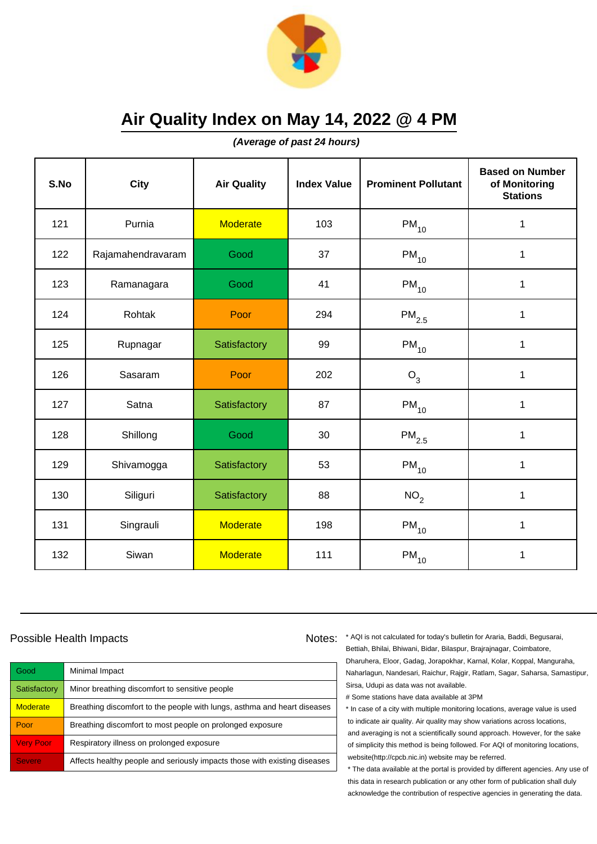

**(Average of past 24 hours)**

| S.No | <b>City</b>       | <b>Air Quality</b> | <b>Index Value</b> | <b>Prominent Pollutant</b> | <b>Based on Number</b><br>of Monitoring<br><b>Stations</b> |
|------|-------------------|--------------------|--------------------|----------------------------|------------------------------------------------------------|
| 121  | Purnia            | <b>Moderate</b>    | 103                | $PM_{10}$                  | $\mathbf 1$                                                |
| 122  | Rajamahendravaram | Good               | 37                 | $PM_{10}$                  | $\mathbf 1$                                                |
| 123  | Ramanagara        | Good               | 41                 | $PM_{10}$                  | 1                                                          |
| 124  | Rohtak            | Poor               | 294                | $PM_{2.5}$                 | $\mathbf 1$                                                |
| 125  | Rupnagar          | Satisfactory       | 99                 | $PM_{10}$                  | $\mathbf{1}$                                               |
| 126  | Sasaram           | Poor               | 202                | $O_3$                      | 1                                                          |
| 127  | Satna             | Satisfactory       | 87                 | $PM_{10}$                  | $\mathbf{1}$                                               |
| 128  | Shillong          | Good               | 30                 | $PM_{2.5}$                 | $\mathbf{1}$                                               |
| 129  | Shivamogga        | Satisfactory       | 53                 | $PM_{10}$                  | $\mathbf 1$                                                |
| 130  | Siliguri          | Satisfactory       | 88                 | NO <sub>2</sub>            | 1                                                          |
| 131  | Singrauli         | <b>Moderate</b>    | 198                | $PM_{10}$                  | 1                                                          |
| 132  | Siwan             | <b>Moderate</b>    | 111                | $\mathsf{PM}_{10}$         | 1                                                          |

### Possible Health Impacts

Good Minimal Impact Satisfactory | Minor breathing discomfort to sensitive people Moderate **Breathing discomfort to the people with lungs**, asthma and heart diseases Poor Breathing discomfort to most people on prolonged exposure Very Poor Respiratory illness on prolonged exposure Severe **Affects healthy people and seriously impacts those with existing diseases** 

Notes: \* AQI is not calculated for today's bulletin for Araria, Baddi, Begusarai, Bettiah, Bhilai, Bhiwani, Bidar, Bilaspur, Brajrajnagar, Coimbatore, Dharuhera, Eloor, Gadag, Jorapokhar, Karnal, Kolar, Koppal, Manguraha, Naharlagun, Nandesari, Raichur, Rajgir, Ratlam, Sagar, Saharsa, Samastipur, Sirsa, Udupi as data was not available.

# Some stations have data available at 3PM

\* In case of a city with multiple monitoring locations, average value is used to indicate air quality. Air quality may show variations across locations, and averaging is not a scientifically sound approach. However, for the sake of simplicity this method is being followed. For AQI of monitoring locations, website(http://cpcb.nic.in) website may be referred.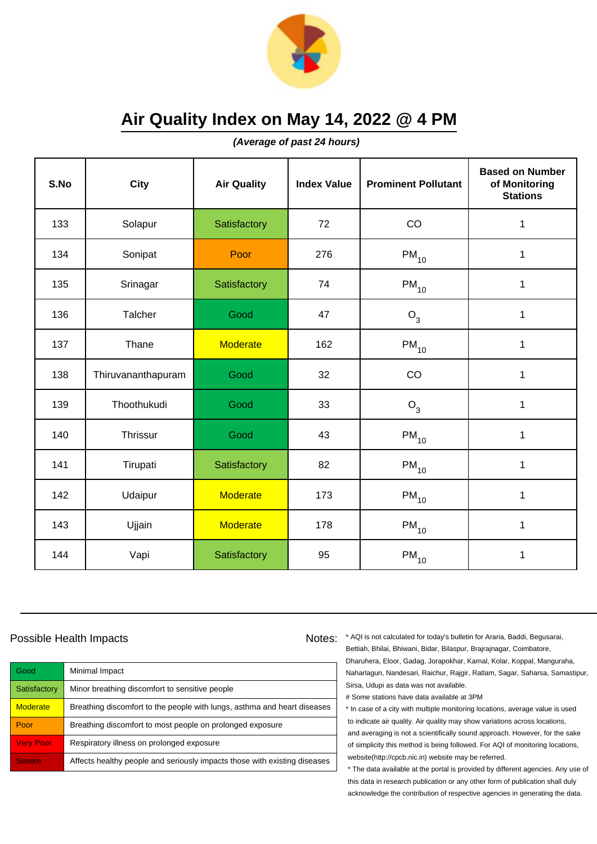

**(Average of past 24 hours)**

| S.No | <b>City</b>        | <b>Air Quality</b> | <b>Index Value</b> | <b>Prominent Pollutant</b> | <b>Based on Number</b><br>of Monitoring<br><b>Stations</b> |
|------|--------------------|--------------------|--------------------|----------------------------|------------------------------------------------------------|
| 133  | Solapur            | Satisfactory       | 72                 | CO                         | 1                                                          |
| 134  | Sonipat            | Poor               | 276                | $PM_{10}$                  | $\mathbf 1$                                                |
| 135  | Srinagar           | Satisfactory       | 74                 | $PM_{10}$                  | $\mathbf 1$                                                |
| 136  | Talcher            | Good               | 47                 | $O_3$                      | 1                                                          |
| 137  | Thane              | <b>Moderate</b>    | 162                | $PM_{10}$                  | $\mathbf 1$                                                |
| 138  | Thiruvananthapuram | Good               | 32                 | CO                         | $\mathbf 1$                                                |
| 139  | Thoothukudi        | Good               | 33                 | $O_3$                      | $\mathbf{1}$                                               |
| 140  | <b>Thrissur</b>    | Good               | 43                 | $PM_{10}$                  | $\mathbf{1}$                                               |
| 141  | Tirupati           | Satisfactory       | 82                 | $PM_{10}$                  | $\mathbf 1$                                                |
| 142  | Udaipur            | <b>Moderate</b>    | 173                | $PM_{10}$                  | $\mathbf 1$                                                |
| 143  | Ujjain             | <b>Moderate</b>    | 178                | $PM_{10}$                  | $\mathbf{1}$                                               |
| 144  | Vapi               | Satisfactory       | 95                 | $PM_{10}$                  | $\mathbf 1$                                                |

### Possible Health Impacts

Good Minimal Impact Satisfactory | Minor breathing discomfort to sensitive people Moderate **Breathing discomfort to the people with lungs**, asthma and heart diseases Poor Breathing discomfort to most people on prolonged exposure Very Poor Respiratory illness on prolonged exposure Severe **Affects healthy people and seriously impacts those with existing diseases** 

Notes: \* AQI is not calculated for today's bulletin for Araria, Baddi, Begusarai, Bettiah, Bhilai, Bhiwani, Bidar, Bilaspur, Brajrajnagar, Coimbatore, Dharuhera, Eloor, Gadag, Jorapokhar, Karnal, Kolar, Koppal, Manguraha, Naharlagun, Nandesari, Raichur, Rajgir, Ratlam, Sagar, Saharsa, Samastipur, Sirsa, Udupi as data was not available.

# Some stations have data available at 3PM

\* In case of a city with multiple monitoring locations, average value is used to indicate air quality. Air quality may show variations across locations, and averaging is not a scientifically sound approach. However, for the sake of simplicity this method is being followed. For AQI of monitoring locations, website(http://cpcb.nic.in) website may be referred.